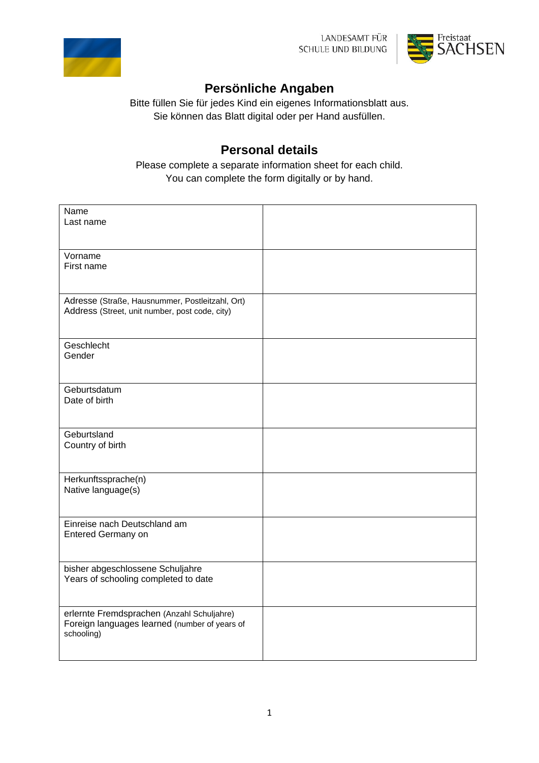



## **Persönliche Angaben**

Bitte füllen Sie für jedes Kind ein eigenes Informationsblatt aus. Sie können das Blatt digital oder per Hand ausfüllen.

## **Personal details**

Please complete a separate information sheet for each child. You can complete the form digitally or by hand.

| Name                                                        |  |
|-------------------------------------------------------------|--|
| Last name                                                   |  |
|                                                             |  |
| Vorname                                                     |  |
| First name                                                  |  |
|                                                             |  |
| Adresse (Straße, Hausnummer, Postleitzahl, Ort)             |  |
| Address (Street, unit number, post code, city)              |  |
|                                                             |  |
| Geschlecht                                                  |  |
| Gender                                                      |  |
|                                                             |  |
| Geburtsdatum                                                |  |
| Date of birth                                               |  |
|                                                             |  |
| Geburtsland                                                 |  |
| Country of birth                                            |  |
|                                                             |  |
| Herkunftssprache(n)                                         |  |
| Native language(s)                                          |  |
|                                                             |  |
| Einreise nach Deutschland am                                |  |
| Entered Germany on                                          |  |
|                                                             |  |
| bisher abgeschlossene Schuljahre                            |  |
| Years of schooling completed to date                        |  |
|                                                             |  |
| erlernte Fremdsprachen (Anzahl Schuljahre)                  |  |
| Foreign languages learned (number of years of<br>schooling) |  |
|                                                             |  |
|                                                             |  |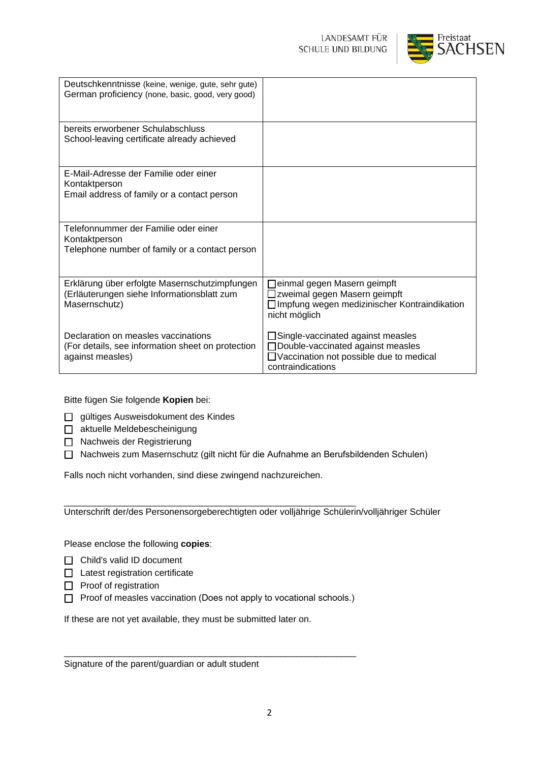

| Deutschkenntnisse (keine, wenige, gute, sehr gute)<br>German proficiency (none, basic, good, very good)      |                                                                                                                                              |
|--------------------------------------------------------------------------------------------------------------|----------------------------------------------------------------------------------------------------------------------------------------------|
| bereits erworbener Schulabschluss<br>School-leaving certificate already achieved                             |                                                                                                                                              |
| E-Mail-Adresse der Familie oder einer<br>Kontaktperson<br>Email address of family or a contact person        |                                                                                                                                              |
| Telefonnummer der Familie oder einer<br>Kontaktperson<br>Telephone number of family or a contact person      |                                                                                                                                              |
| Erklärung über erfolgte Masernschutzimpfungen<br>(Erläuterungen siehe Informationsblatt zum<br>Masernschutz) | Jeinmal gegen Masern geimpft<br>Izweimal gegen Masern geimpft<br>□ Impfung wegen medizinischer Kontraindikation<br>nicht möglich             |
| Declaration on measles vaccinations<br>(For details, see information sheet on protection<br>against measles) | □ Single-vaccinated against measles<br>□ Double-vaccinated against measles<br>□ Vaccination not possible due to medical<br>contraindications |

Bitte fügen Sie folgende **Kopien** bei:

- gültiges Ausweisdokument des Kindes
- □ aktuelle Meldebescheinigung
- □ Nachweis der Registrierung
- Nachweis zum Masernschutz (gilt nicht für die Aufnahme an Berufsbildenden Schulen)

Falls noch nicht vorhanden, sind diese zwingend nachzureichen.

\_\_\_\_\_\_\_\_\_\_\_\_\_\_\_\_\_\_\_\_\_\_\_\_\_\_\_\_\_\_\_\_\_\_\_\_\_\_\_\_\_\_\_\_\_\_\_\_\_\_\_\_\_\_\_\_\_\_ Unterschrift der/des Personensorgeberechtigten oder volljährige Schülerin/volljähriger Schüler

Please enclose the following **copies**:

- □ Child's valid ID document
- $\Box$  Latest registration certificate
- $\Box$  Proof of registration
- $\Box$  Proof of measles vaccination (Does not apply to vocational schools.)

\_\_\_\_\_\_\_\_\_\_\_\_\_\_\_\_\_\_\_\_\_\_\_\_\_\_\_\_\_\_\_\_\_\_\_\_\_\_\_\_\_\_\_\_\_\_\_\_\_\_\_\_\_\_\_\_\_\_

If these are not yet available, they must be submitted later on.

Signature of the parent/guardian or adult student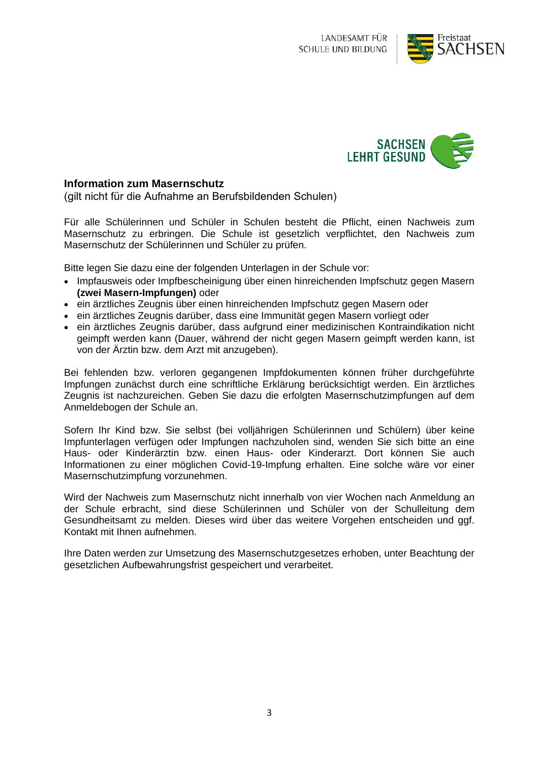



## **Information zum Masernschutz**

(gilt nicht für die Aufnahme an Berufsbildenden Schulen)

Für alle Schülerinnen und Schüler in Schulen besteht die Pflicht, einen Nachweis zum Masernschutz zu erbringen. Die Schule ist gesetzlich verpflichtet, den Nachweis zum Masernschutz der Schülerinnen und Schüler zu prüfen.

Bitte legen Sie dazu eine der folgenden Unterlagen in der Schule vor:

- Impfausweis oder Impfbescheinigung über einen hinreichenden Impfschutz gegen Masern **(zwei Masern-Impfungen)** oder
- ein ärztliches Zeugnis über einen hinreichenden Impfschutz gegen Masern oder
- ein ärztliches Zeugnis darüber, dass eine Immunität gegen Masern vorliegt oder
- ein ärztliches Zeugnis darüber, dass aufgrund einer medizinischen Kontraindikation nicht geimpft werden kann (Dauer, während der nicht gegen Masern geimpft werden kann, ist von der Ärztin bzw. dem Arzt mit anzugeben).

Bei fehlenden bzw. verloren gegangenen Impfdokumenten können früher durchgeführte Impfungen zunächst durch eine schriftliche Erklärung berücksichtigt werden. Ein ärztliches Zeugnis ist nachzureichen. Geben Sie dazu die erfolgten Masernschutzimpfungen auf dem Anmeldebogen der Schule an.

Sofern Ihr Kind bzw. Sie selbst (bei volljährigen Schülerinnen und Schülern) über keine Impfunterlagen verfügen oder Impfungen nachzuholen sind, wenden Sie sich bitte an eine Haus- oder Kinderärztin bzw. einen Haus- oder Kinderarzt. Dort können Sie auch Informationen zu einer möglichen Covid-19-Impfung erhalten. Eine solche wäre vor einer Masernschutzimpfung vorzunehmen.

Wird der Nachweis zum Masernschutz nicht innerhalb von vier Wochen nach Anmeldung an der Schule erbracht, sind diese Schülerinnen und Schüler von der Schulleitung dem Gesundheitsamt zu melden. Dieses wird über das weitere Vorgehen entscheiden und ggf. Kontakt mit Ihnen aufnehmen.

Ihre Daten werden zur Umsetzung des Masernschutzgesetzes erhoben, unter Beachtung der gesetzlichen Aufbewahrungsfrist gespeichert und verarbeitet.